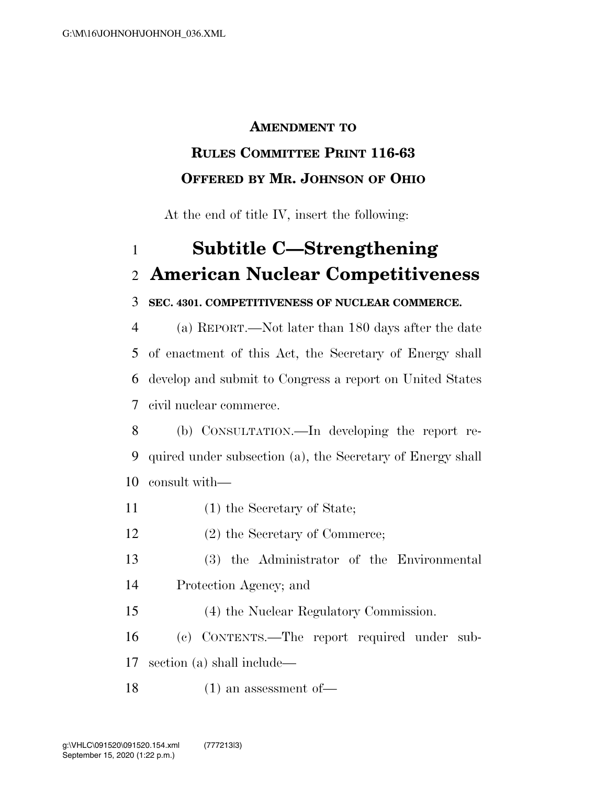### **AMENDMENT TO**

## **RULES COMMITTEE PRINT 116-63 OFFERED BY MR. JOHNSON OF OHIO**

At the end of title IV, insert the following:

## **Subtitle C—Strengthening American Nuclear Competitiveness**

### **SEC. 4301. COMPETITIVENESS OF NUCLEAR COMMERCE.**

 (a) REPORT.—Not later than 180 days after the date of enactment of this Act, the Secretary of Energy shall develop and submit to Congress a report on United States civil nuclear commerce.

- (b) CONSULTATION.—In developing the report re- quired under subsection (a), the Secretary of Energy shall consult with—
- (1) the Secretary of State;
- (2) the Secretary of Commerce;
- (3) the Administrator of the Environmental Protection Agency; and
- (4) the Nuclear Regulatory Commission.
- (c) CONTENTS.—The report required under sub-section (a) shall include—
- (1) an assessment of—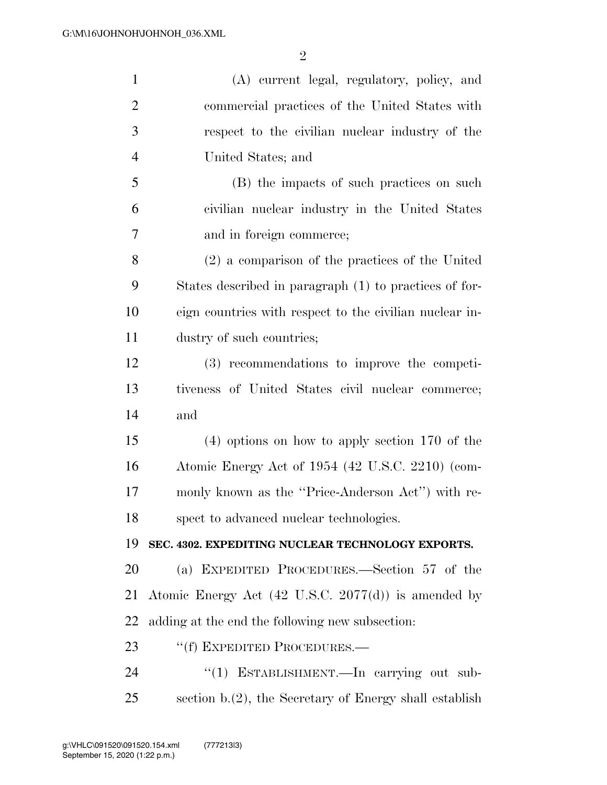| $\mathbf{1}$   | (A) current legal, regulatory, policy, and                     |
|----------------|----------------------------------------------------------------|
| $\overline{2}$ | commercial practices of the United States with                 |
| 3              | respect to the civilian nuclear industry of the                |
| $\overline{4}$ | United States; and                                             |
| 5              | (B) the impacts of such practices on such                      |
| 6              | civilian nuclear industry in the United States                 |
| 7              | and in foreign commerce;                                       |
| 8              | (2) a comparison of the practices of the United                |
| 9              | States described in paragraph (1) to practices of for-         |
| 10             | eign countries with respect to the civilian nuclear in-        |
| 11             | dustry of such countries;                                      |
| 12             | (3) recommendations to improve the competi-                    |
| 13             | tiveness of United States civil nuclear commerce;              |
| 14             | and                                                            |
| 15             | $(4)$ options on how to apply section 170 of the               |
| 16             | Atomic Energy Act of 1954 (42 U.S.C. 2210) (com-               |
| 17             | monly known as the "Price-Anderson Act") with re-              |
| 18             | spect to advanced nuclear technologies.                        |
| 19             | SEC. 4302. EXPEDITING NUCLEAR TECHNOLOGY EXPORTS.              |
| 20             | (a) EXPEDITED PROCEDURES.—Section 57 of the                    |
| 21             | Atomic Energy Act $(42 \text{ U.S.C. } 2077(d))$ is amended by |
| 22             | adding at the end the following new subsection:                |
| 23             | "(f) EXPEDITED PROCEDURES.—                                    |
| 24             | "(1) ESTABLISHMENT.—In carrying out sub-                       |
| 25             | section $b(2)$ , the Secretary of Energy shall establish       |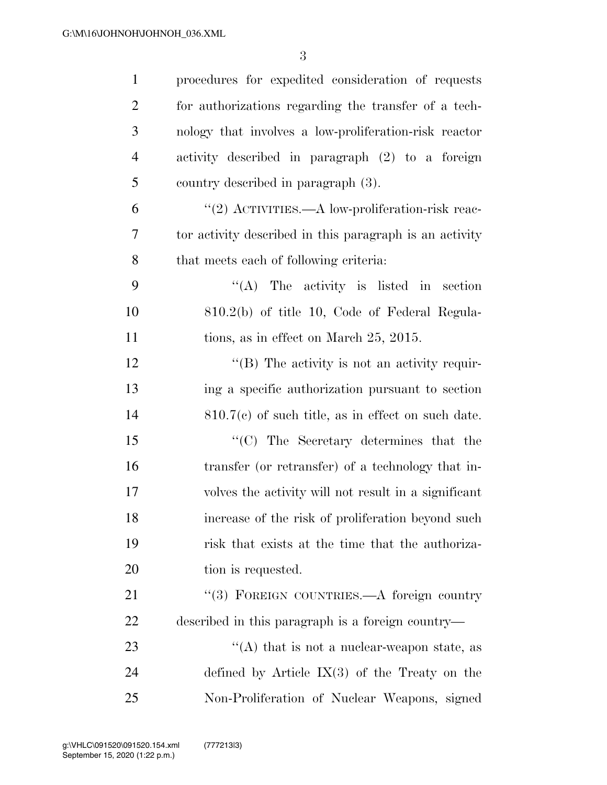| $\mathbf{1}$   | procedures for expedited consideration of requests      |
|----------------|---------------------------------------------------------|
| $\overline{2}$ | for authorizations regarding the transfer of a tech-    |
| 3              | nology that involves a low-proliferation-risk reactor   |
| $\overline{4}$ | activity described in paragraph (2) to a foreign        |
| 5              | country described in paragraph (3).                     |
| 6              | "(2) ACTIVITIES.—A low-proliferation-risk reac-         |
| 7              | tor activity described in this paragraph is an activity |
| 8              | that meets each of following criteria:                  |
| 9              | $\lq\lq$ The activity is listed in section              |
| 10             | 810.2(b) of title 10, Code of Federal Regula-           |
| 11             | tions, as in effect on March 25, 2015.                  |
| 12             | $\lq\lq (B)$ The activity is not an activity requir-    |
| 13             | ing a specific authorization pursuant to section        |
| 14             | $810.7(c)$ of such title, as in effect on such date.    |
| 15             | $\lq\lq$ (C) The Secretary determines that the          |
| 16             | transfer (or retransfer) of a technology that in-       |
| 17             | volves the activity will not result in a significant    |
| 18             | increase of the risk of proliferation beyond such       |
| 19             | risk that exists at the time that the authoriza-        |
| 20             | tion is requested.                                      |
| 21             | "(3) FOREIGN COUNTRIES.—A foreign country               |
| 22             | described in this paragraph is a foreign country—       |
| 23             | $\lq\lq$ that is not a nuclear-weapon state, as         |
| 24             | defined by Article $IX(3)$ of the Treaty on the         |
| 25             | Non-Proliferation of Nuclear Weapons, signed            |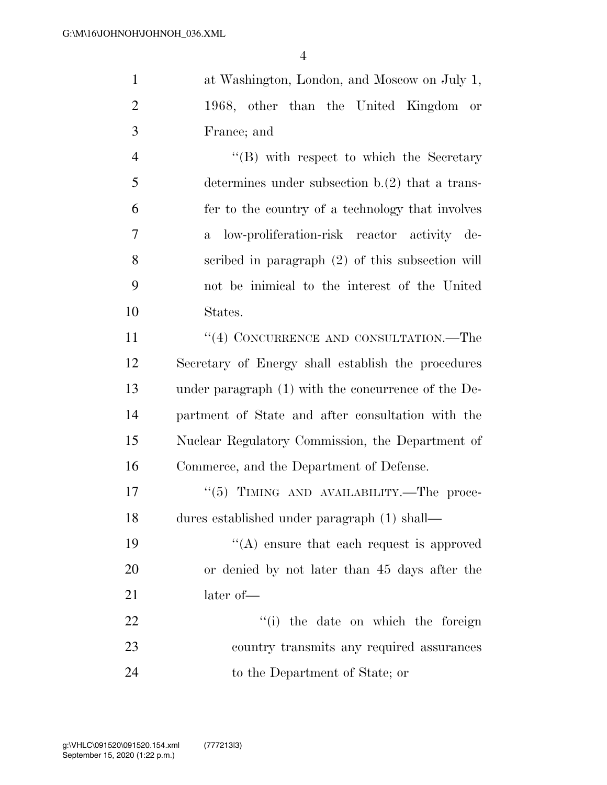at Washington, London, and Moscow on July 1, 1968, other than the United Kingdom or France; and

 ''(B) with respect to which the Secretary determines under subsection b.(2) that a trans- fer to the country of a technology that involves a low-proliferation-risk reactor activity de- scribed in paragraph (2) of this subsection will not be inimical to the interest of the United States.

11 ''(4) CONCURRENCE AND CONSULTATION.—The Secretary of Energy shall establish the procedures under paragraph (1) with the concurrence of the De- partment of State and after consultation with the Nuclear Regulatory Commission, the Department of Commerce, and the Department of Defense.

17 "(5) TIMING AND AVAILABILITY.—The proce-dures established under paragraph (1) shall—

19  $((A)$  ensure that each request is approved or denied by not later than 45 days after the 21 later of —

22 ''(i) the date on which the foreign country transmits any required assurances to the Department of State; or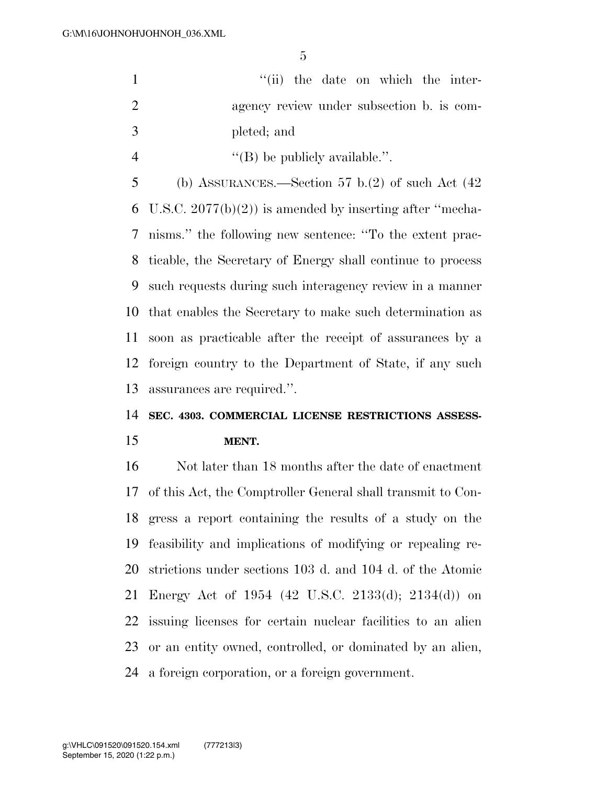|    | "(ii) the date on which the inter-                  |
|----|-----------------------------------------------------|
| 2  | agency review under subsection b. is com-           |
| -3 | pleted; and                                         |
|    | $\lq\lq$ (B) be publicly available.".               |
|    | (b) ASSURANCES.—Section 57 b.(2) of such Act $(42)$ |

6 U.S.C.  $2077(b)(2)$  is amended by inserting after "mecha- nisms.'' the following new sentence: ''To the extent prac- ticable, the Secretary of Energy shall continue to process such requests during such interagency review in a manner that enables the Secretary to make such determination as soon as practicable after the receipt of assurances by a foreign country to the Department of State, if any such assurances are required.''.

# **SEC. 4303. COMMERCIAL LICENSE RESTRICTIONS ASSESS-**

#### **MENT.**

 Not later than 18 months after the date of enactment of this Act, the Comptroller General shall transmit to Con- gress a report containing the results of a study on the feasibility and implications of modifying or repealing re- strictions under sections 103 d. and 104 d. of the Atomic Energy Act of 1954 (42 U.S.C. 2133(d); 2134(d)) on issuing licenses for certain nuclear facilities to an alien or an entity owned, controlled, or dominated by an alien, a foreign corporation, or a foreign government.